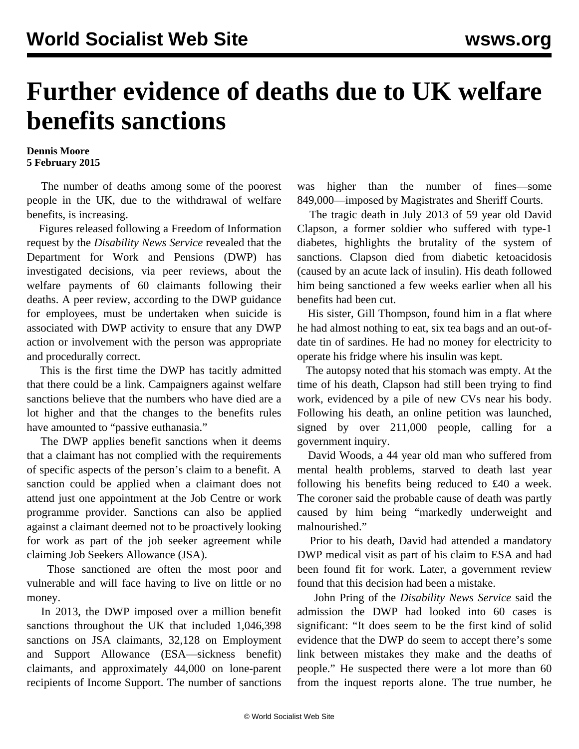## **Further evidence of deaths due to UK welfare benefits sanctions**

## **Dennis Moore 5 February 2015**

 The number of deaths among some of the poorest people in the UK, due to the withdrawal of welfare benefits, is increasing.

 Figures released following a Freedom of Information request by the *Disability News Service* revealed that the Department for Work and Pensions (DWP) has investigated decisions, via peer reviews, about the welfare payments of 60 claimants following their deaths. A peer review, according to the DWP guidance for employees, must be undertaken when suicide is associated with DWP activity to ensure that any DWP action or involvement with the person was appropriate and procedurally correct.

 This is the first time the DWP has tacitly admitted that there could be a link. Campaigners against welfare sanctions believe that the numbers who have died are a lot higher and that the changes to the benefits rules have amounted to "passive euthanasia."

 The DWP applies benefit sanctions when it deems that a claimant has not complied with the requirements of specific aspects of the person's claim to a benefit. A sanction could be applied when a claimant does not attend just one appointment at the Job Centre or work programme provider. Sanctions can also be applied against a claimant deemed not to be proactively looking for work as part of the job seeker agreement while claiming Job Seekers Allowance (JSA).

 Those sanctioned are often the most poor and vulnerable and will face having to live on little or no money.

 In 2013, the DWP imposed over a million benefit sanctions throughout the UK that included 1,046,398 sanctions on JSA claimants, 32,128 on Employment and Support Allowance (ESA—sickness benefit) claimants, and approximately 44,000 on lone-parent recipients of Income Support. The number of sanctions

was higher than the number of fines—some 849,000—imposed by Magistrates and Sheriff Courts.

 The tragic death in July 2013 of 59 year old David Clapson, a former soldier who suffered with type-1 diabetes, highlights the brutality of the system of sanctions. Clapson died from diabetic ketoacidosis (caused by an acute lack of insulin). His death followed him being sanctioned a few weeks earlier when all his benefits had been cut.

 His sister, Gill Thompson, found him in a flat where he had almost nothing to eat, six tea bags and an out-ofdate tin of sardines. He had no money for electricity to operate his fridge where his insulin was kept.

 The autopsy noted that his stomach was empty. At the time of his death, Clapson had still been trying to find work, evidenced by a pile of new CVs near his body. Following his death, an online petition was launched, signed by over 211,000 people, calling for a government inquiry.

 David Woods, a 44 year old man who suffered from mental health problems, starved to death last year following his benefits being reduced to £40 a week. The coroner said the probable cause of death was partly caused by him being "markedly underweight and malnourished."

 Prior to his death, David had attended a mandatory DWP medical visit as part of his claim to ESA and had been found fit for work. Later, a government review found that this decision had been a mistake.

 John Pring of the *Disability News Service* said the admission the DWP had looked into 60 cases is significant: "It does seem to be the first kind of solid evidence that the DWP do seem to accept there's some link between mistakes they make and the deaths of people." He suspected there were a lot more than 60 from the inquest reports alone. The true number, he